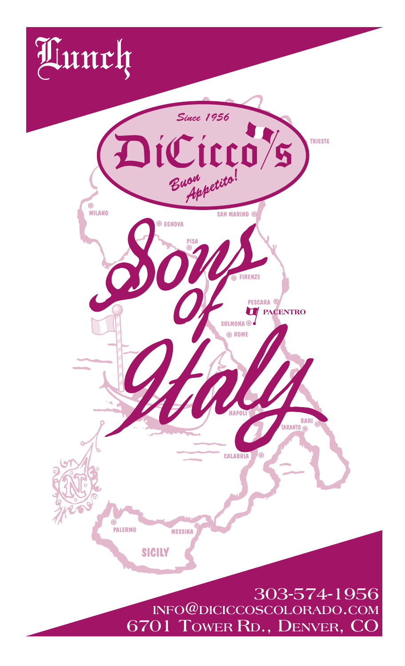